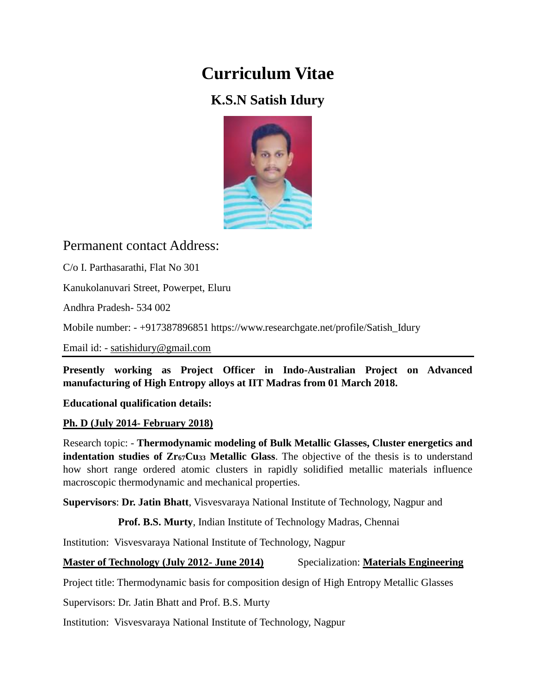# **Curriculum Vitae**

## **K.S.N Satish Idury**



### Permanent contact Address:

C/o I. Parthasarathi, Flat No 301

Kanukolanuvari Street, Powerpet, Eluru

Andhra Pradesh- 534 002

Mobile number: - +917387896851 https://www.researchgate.net/profile/Satish\_Idury

Email id: - [satishidury@gmail.com](mailto:satishidury@gmail.com)

**Presently working as Project Officer in Indo-Australian Project on Advanced manufacturing of High Entropy alloys at IIT Madras from 01 March 2018.**

**Educational qualification details:**

#### **Ph. D (July 2014- February 2018)**

Research topic: - **Thermodynamic modeling of Bulk Metallic Glasses, Cluster energetics and indentation studies of Zr67Cu<sup>33</sup> Metallic Glass**. The objective of the thesis is to understand how short range ordered atomic clusters in rapidly solidified metallic materials influence macroscopic thermodynamic and mechanical properties.

**Supervisors**: **Dr. Jatin Bhatt**, Visvesvaraya National Institute of Technology, Nagpur and

**Prof. B.S. Murty**, Indian Institute of Technology Madras, Chennai

Institution: Visvesvaraya National Institute of Technology, Nagpur

#### **Master of Technology (July 2012- June 2014)** Specialization: **Materials Engineering**

Project title: Thermodynamic basis for composition design of High Entropy Metallic Glasses

Supervisors: Dr. Jatin Bhatt and Prof. B.S. Murty

Institution: Visvesvaraya National Institute of Technology, Nagpur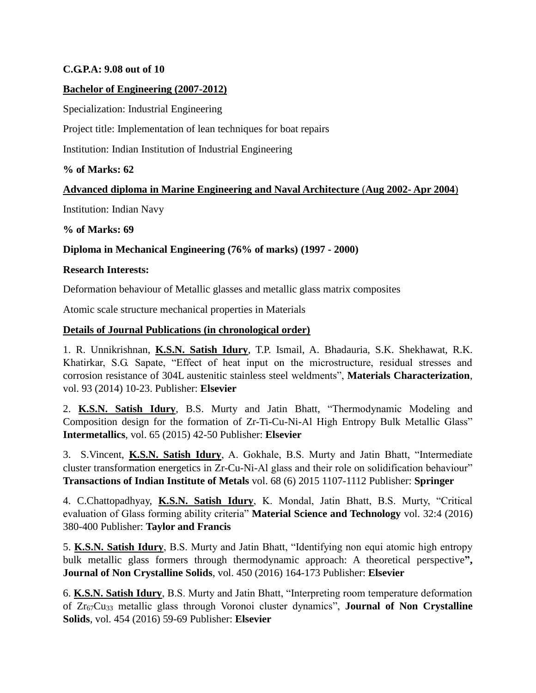#### **C.G.P.A: 9.08 out of 10**

#### **Bachelor of Engineering (2007-2012)**

Specialization: Industrial Engineering

Project title: Implementation of lean techniques for boat repairs

Institution: Indian Institution of Industrial Engineering

**% of Marks: 62**

#### **Advanced diploma in Marine Engineering and Naval Architecture** (**Aug 2002- Apr 2004**)

Institution: Indian Navy

**% of Marks: 69**

#### **Diploma in Mechanical Engineering (76% of marks) (1997 - 2000)**

#### **Research Interests:**

Deformation behaviour of Metallic glasses and metallic glass matrix composites

Atomic scale structure mechanical properties in Materials

#### **Details of Journal Publications (in chronological order)**

1. R. Unnikrishnan, **K.S.N. Satish Idury**, T.P. Ismail, A. Bhadauria, S.K. Shekhawat, R.K. Khatirkar, S.G. Sapate, "Effect of heat input on the microstructure, residual stresses and corrosion resistance of 304L austenitic stainless steel weldments", **Materials Characterization**, vol. 93 (2014) 10-23. Publisher: **Elsevier**

2. **K.S.N. Satish Idury**, B.S. Murty and Jatin Bhatt, "Thermodynamic Modeling and Composition design for the formation of Zr-Ti-Cu-Ni-Al High Entropy Bulk Metallic Glass" **Intermetallics**, vol. 65 (2015) 42-50 Publisher: **Elsevier**

3. S.Vincent, **K.S.N. Satish Idury**, A. Gokhale, B.S. Murty and Jatin Bhatt, "Intermediate cluster transformation energetics in Zr-Cu-Ni-Al glass and their role on solidification behaviour" **Transactions of Indian Institute of Metals** vol. 68 (6) 2015 1107-1112 Publisher: **Springer**

4. C.Chattopadhyay, **K.S.N. Satish Idury**, K. Mondal, Jatin Bhatt, B.S. Murty, "Critical evaluation of Glass forming ability criteria" **Material Science and Technology** vol. 32:4 (2016) 380-400 Publisher: **Taylor and Francis**

5. **K.S.N. Satish Idury**, B.S. Murty and Jatin Bhatt, "Identifying non equi atomic high entropy bulk metallic glass formers through thermodynamic approach: A theoretical perspective**", Journal of Non Crystalline Solids**, vol. 450 (2016) 164-173 Publisher: **Elsevier**

6. **K.S.N. Satish Idury**, B.S. Murty and Jatin Bhatt, "Interpreting room temperature deformation of Zr67Cu<sup>33</sup> metallic glass through Voronoi cluster dynamics", **Journal of Non Crystalline Solids**, vol. 454 (2016) 59-69 Publisher: **Elsevier**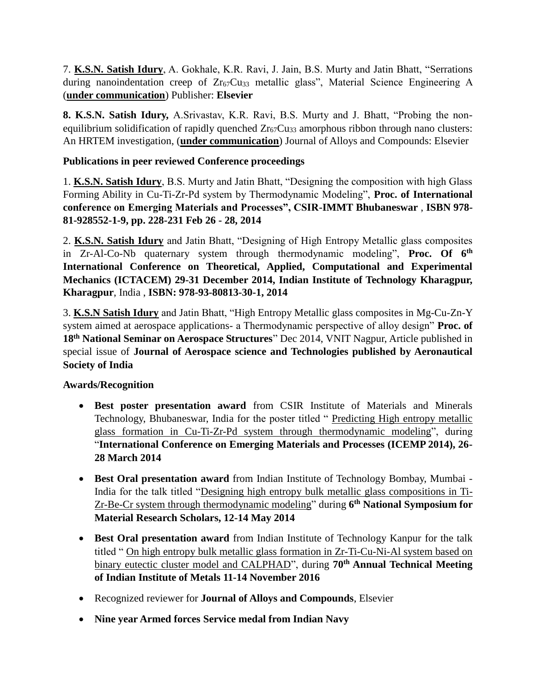7. **K.S.N. Satish Idury**, A. Gokhale, K.R. Ravi, J. Jain, B.S. Murty and Jatin Bhatt, "Serrations during nanoindentation creep of  $Zr<sub>67</sub>Cu<sub>33</sub>$  metallic glass", Material Science Engineering A (**under communication**) Publisher: **Elsevier**

**8. K.S.N. Satish Idury,** A.Srivastav, K.R. Ravi, B.S. Murty and J. Bhatt, "Probing the nonequilibrium solidification of rapidly quenched  $Zr_{67}Cu_{33}$  amorphous ribbon through nano clusters: An HRTEM investigation, (**under communication**) Journal of Alloys and Compounds: Elsevier

#### **Publications in peer reviewed Conference proceedings**

1. **K.S.N. Satish Idury**, B.S. Murty and Jatin Bhatt, "Designing the composition with high Glass Forming Ability in Cu-Ti-Zr-Pd system by Thermodynamic Modeling", **Proc. of International conference on Emerging Materials and Processes", CSIR-IMMT Bhubaneswar** , **ISBN 978- 81-928552-1-9, pp. 228-231 Feb 26 - 28, 2014** 

2. **K.S.N. Satish Idury** and Jatin Bhatt, "Designing of High Entropy Metallic glass composites in Zr-Al-Co-Nb quaternary system through thermodynamic modeling", **Proc. Of 6th International Conference on Theoretical, Applied, Computational and Experimental Mechanics (ICTACEM) 29-31 December 2014, Indian Institute of Technology Kharagpur, Kharagpur**, India , **ISBN: 978-93-80813-30-1, 2014**

3. **K.S.N Satish Idury** and Jatin Bhatt, "High Entropy Metallic glass composites in Mg-Cu-Zn-Y system aimed at aerospace applications- a Thermodynamic perspective of alloy design" **Proc. of 18th National Seminar on Aerospace Structures**" Dec 2014, VNIT Nagpur, Article published in special issue of **Journal of Aerospace science and Technologies published by Aeronautical Society of India**

#### **Awards/Recognition**

- **Best poster presentation award** from CSIR Institute of Materials and Minerals Technology, Bhubaneswar, India for the poster titled " Predicting High entropy metallic glass formation in Cu-Ti-Zr-Pd system through thermodynamic modeling", during "**International Conference on Emerging Materials and Processes (ICEMP 2014), 26- 28 March 2014**
- **Best Oral presentation award** from Indian Institute of Technology Bombay, Mumbai India for the talk titled "Designing high entropy bulk metallic glass compositions in Ti-Zr-Be-Cr system through thermodynamic modeling" during **6 th National Symposium for Material Research Scholars, 12-14 May 2014**
- **Best Oral presentation award** from Indian Institute of Technology Kanpur for the talk titled " On high entropy bulk metallic glass formation in Zr-Ti-Cu-Ni-Al system based on binary eutectic cluster model and CALPHAD", during **70th Annual Technical Meeting of Indian Institute of Metals 11-14 November 2016**
- Recognized reviewer for **Journal of Alloys and Compounds**, Elsevier
- **Nine year Armed forces Service medal from Indian Navy**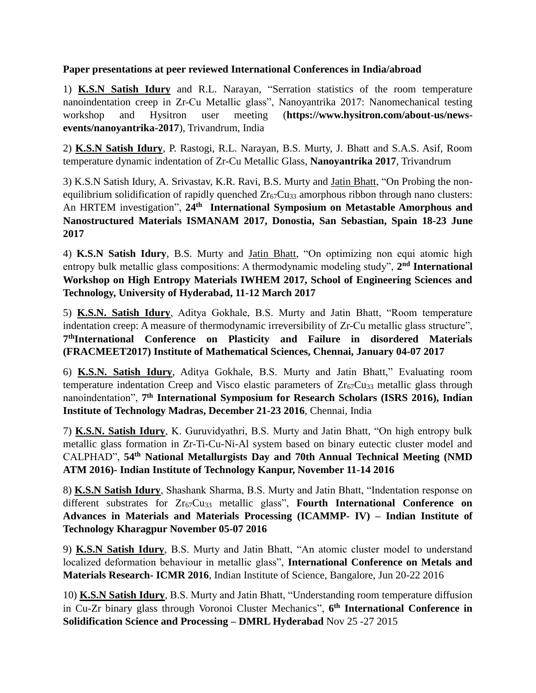#### **Paper presentations at peer reviewed International Conferences in India/abroad**

1) **K.S.N Satish Idury** and R.L. Narayan, "Serration statistics of the room temperature nanoindentation creep in Zr-Cu Metallic glass", Nanoyantrika 2017: Nanomechanical testing workshop and Hysitron user meeting (**https://www.hysitron.com/about-us/newsevents/nanoyantrika-2017**), Trivandrum, India

2) **K.S.N Satish Idury**, P. Rastogi, R.L. Narayan, B.S. Murty, J. Bhatt and S.A.S. Asif, Room temperature dynamic indentation of Zr-Cu Metallic Glass, **Nanoyantrika 2017**, Trivandrum

3) K.S.N Satish Idury, A. Srivastav, K.R. Ravi, B.S. Murty and Jatin Bhatt, "On Probing the nonequilibrium solidification of rapidly quenched  $Zr_{67}Cu_{33}$  amorphous ribbon through nano clusters: An HRTEM investigation", 24<sup>th</sup> International Symposium on Metastable Amorphous and **Nanostructured Materials ISMANAM 2017, Donostia, San Sebastian, Spain 18-23 June 2017**

4) **K.S.N Satish Idury**, B.S. Murty and Jatin Bhatt, "On optimizing non equi atomic high entropy bulk metallic glass compositions: A thermodynamic modeling study", 2<sup>nd</sup> International **Workshop on High Entropy Materials IWHEM 2017, School of Engineering Sciences and Technology, University of Hyderabad, 11-12 March 2017**

5) **K.S.N. Satish Idury**, Aditya Gokhale, B.S. Murty and Jatin Bhatt, "Room temperature indentation creep: A measure of thermodynamic irreversibility of Zr-Cu metallic glass structure", **7 thInternational Conference on Plasticity and Failure in disordered Materials (FRACMEET2017) Institute of Mathematical Sciences, Chennai, January 04-07 2017**

6) **K.S.N. Satish Idury**, Aditya Gokhale, B.S. Murty and Jatin Bhatt," Evaluating room temperature indentation Creep and Visco elastic parameters of  $Zr_{67}Cu_{33}$  metallic glass through nanoindentation", **7 th International Symposium for Research Scholars (ISRS 2016), Indian Institute of Technology Madras, December 21-23 2016**, Chennai, India

7) **K.S.N. Satish Idury**, K. Guruvidyathri, B.S. Murty and Jatin Bhatt, "On high entropy bulk metallic glass formation in Zr-Ti-Cu-Ni-Al system based on binary eutectic cluster model and CALPHAD", **54th National Metallurgists Day and 70th Annual Technical Meeting (NMD ATM 2016)- Indian Institute of Technology Kanpur, November 11-14 2016**

8) **K.S.N Satish Idury**, Shashank Sharma, B.S. Murty and Jatin Bhatt, "Indentation response on different substrates for Zr<sub>67</sub>Cu<sub>33</sub> metallic glass", Fourth International Conference on **Advances in Materials and Materials Processing (ICAMMP- IV) – Indian Institute of Technology Kharagpur November 05-07 2016**

9) **K.S.N Satish Idury**, B.S. Murty and Jatin Bhatt, "An atomic cluster model to understand localized deformation behaviour in metallic glass", **International Conference on Metals and Materials Research- ICMR 2016**, Indian Institute of Science, Bangalore, Jun 20-22 2016

10) **K.S.N Satish Idury**, B.S. Murty and Jatin Bhatt, "Understanding room temperature diffusion in Cu-Zr binary glass through Voronoi Cluster Mechanics", **6 th International Conference in Solidification Science and Processing – DMRL Hyderabad** Nov 25 -27 2015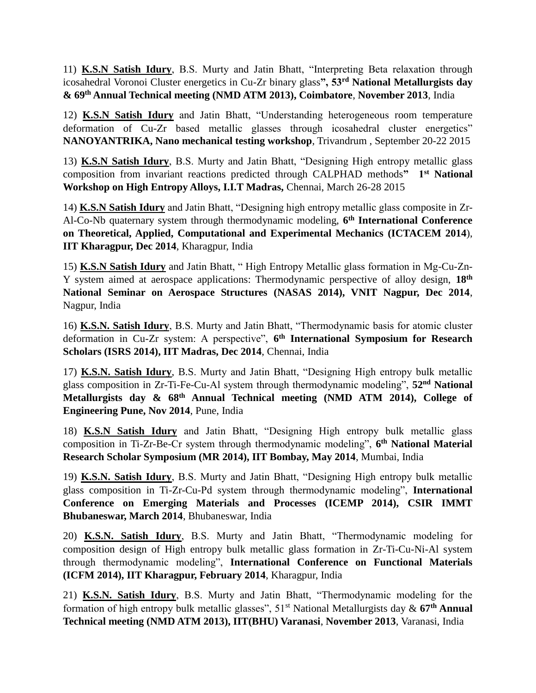11) **K.S.N Satish Idury**, B.S. Murty and Jatin Bhatt, "Interpreting Beta relaxation through icosahedral Voronoi Cluster energetics in Cu-Zr binary glass**", 53rd National Metallurgists day & 69th Annual Technical meeting (NMD ATM 2013), Coimbatore**, **November 2013**, India

12) **K.S.N Satish Idury** and Jatin Bhatt, "Understanding heterogeneous room temperature deformation of Cu-Zr based metallic glasses through icosahedral cluster energetics" **NANOYANTRIKA, Nano mechanical testing workshop**, Trivandrum , September 20-22 2015

13) **K.S.N Satish Idury**, B.S. Murty and Jatin Bhatt, "Designing High entropy metallic glass composition from invariant reactions predicted through CALPHAD methods**" 1st National Workshop on High Entropy Alloys, I.I.T Madras,** Chennai, March 26-28 2015

14) **K.S.N Satish Idury** and Jatin Bhatt, "Designing high entropy metallic glass composite in Zr-Al-Co-Nb quaternary system through thermodynamic modeling, **6 th International Conference on Theoretical, Applied, Computational and Experimental Mechanics (ICTACEM 2014**), **IIT Kharagpur, Dec 2014**, Kharagpur, India

15) **K.S.N Satish Idury** and Jatin Bhatt, " High Entropy Metallic glass formation in Mg-Cu-Zn-Y system aimed at aerospace applications: Thermodynamic perspective of alloy design, **18th National Seminar on Aerospace Structures (NASAS 2014), VNIT Nagpur, Dec 2014**, Nagpur, India

16) **K.S.N. Satish Idury**, B.S. Murty and Jatin Bhatt, "Thermodynamic basis for atomic cluster deformation in Cu-Zr system: A perspective", **6 th International Symposium for Research Scholars (ISRS 2014), IIT Madras, Dec 2014**, Chennai, India

17) **K.S.N. Satish Idury**, B.S. Murty and Jatin Bhatt, "Designing High entropy bulk metallic glass composition in Zr-Ti-Fe-Cu-Al system through thermodynamic modeling", **52nd National Metallurgists day & 68th Annual Technical meeting (NMD ATM 2014), College of Engineering Pune, Nov 2014**, Pune, India

18) **K.S.N Satish Idury** and Jatin Bhatt, "Designing High entropy bulk metallic glass composition in Ti-Zr-Be-Cr system through thermodynamic modeling", **6 th National Material Research Scholar Symposium (MR 2014), IIT Bombay, May 2014**, Mumbai, India

19) **K.S.N. Satish Idury**, B.S. Murty and Jatin Bhatt, "Designing High entropy bulk metallic glass composition in Ti-Zr-Cu-Pd system through thermodynamic modeling", **International Conference on Emerging Materials and Processes (ICEMP 2014), CSIR IMMT Bhubaneswar, March 2014**, Bhubaneswar, India

20) **K.S.N. Satish Idury**, B.S. Murty and Jatin Bhatt, "Thermodynamic modeling for composition design of High entropy bulk metallic glass formation in Zr-Ti-Cu-Ni-Al system through thermodynamic modeling", **International Conference on Functional Materials (ICFM 2014), IIT Kharagpur, February 2014**, Kharagpur, India

21) **K.S.N. Satish Idury**, B.S. Murty and Jatin Bhatt, "Thermodynamic modeling for the formation of high entropy bulk metallic glasses", 51st National Metallurgists day & **67th Annual Technical meeting (NMD ATM 2013), IIT(BHU) Varanasi**, **November 2013**, Varanasi, India